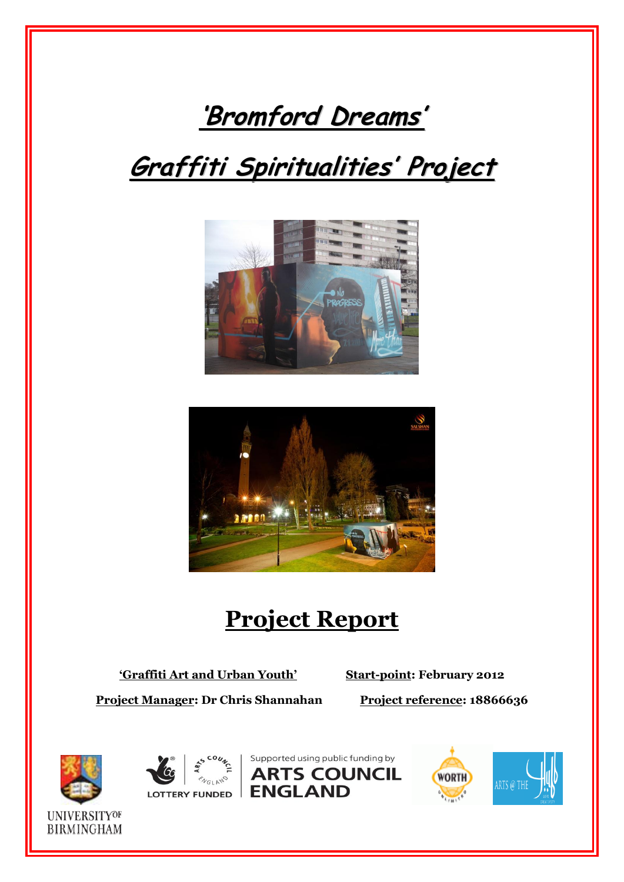

# **Graffiti Spiritualities ' Project**





# **Project Report**

**'Graffiti Art and Urban Youth' Start-point: February 2012**

**Project Manager: Dr Chris Shannahan Project reference: 18866636** 





Supported using public funding by **ARTS COUNCIL** LOTTERY FUNDED **ENGLAND** 



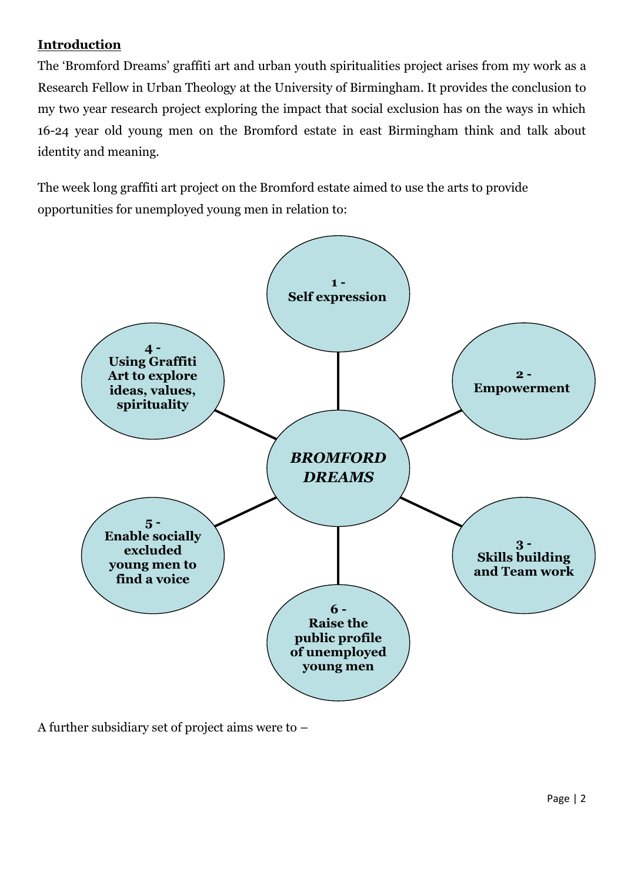### **Introduction**

The 'Bromford Dreams' graffiti art and urban youth spiritualities project arises from my work as a Research Fellow in Urban Theology at the University of Birmingham. It provides the conclusion to my two year research project exploring the impact that social exclusion has on the ways in which 16-24 year old young men on the Bromford estate in east Birmingham think and talk about identity and meaning.

The week long graffiti art project on the Bromford estate aimed to use the arts to provide opportunities for unemployed young men in relation to:



A further subsidiary set of project aims were to –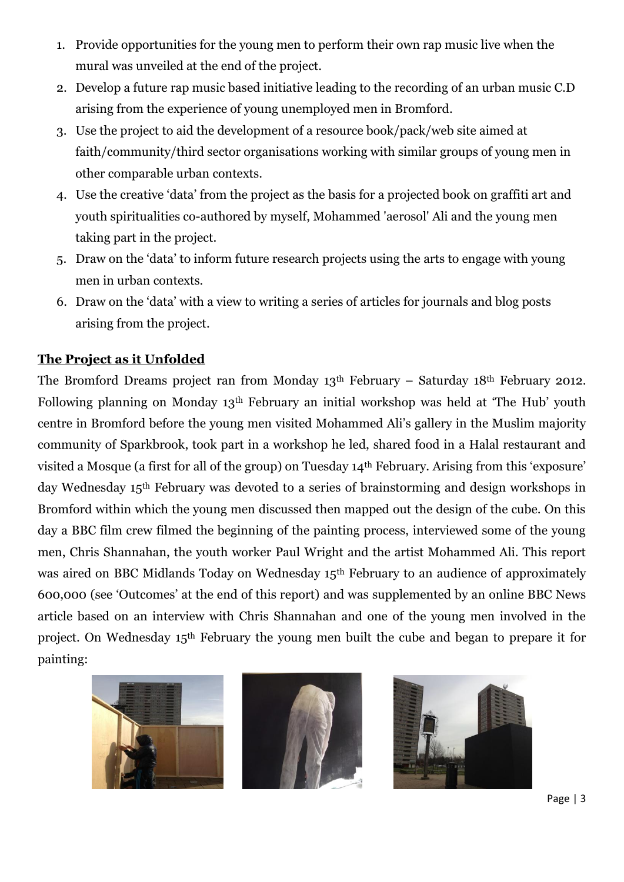- 1. Provide opportunities for the young men to perform their own rap music live when the mural was unveiled at the end of the project.
- 2. Develop a future rap music based initiative leading to the recording of an urban music C.D arising from the experience of young unemployed men in Bromford.
- 3. Use the project to aid the development of a resource book/pack/web site aimed at faith/community/third sector organisations working with similar groups of young men in other comparable urban contexts.
- 4. Use the creative 'data' from the project as the basis for a projected book on graffiti art and youth spiritualities co-authored by myself, Mohammed 'aerosol' Ali and the young men taking part in the project.
- 5. Draw on the 'data' to inform future research projects using the arts to engage with young men in urban contexts.
- 6. Draw on the 'data' with a view to writing a series of articles for journals and blog posts arising from the project.

## **The Project as it Unfolded**

The Bromford Dreams project ran from Monday 13th February – Saturday 18th February 2012. Following planning on Monday 13th February an initial workshop was held at 'The Hub' youth centre in Bromford before the young men visited Mohammed Ali's gallery in the Muslim majority community of Sparkbrook, took part in a workshop he led, shared food in a Halal restaurant and visited a Mosque (a first for all of the group) on Tuesday 14th February. Arising from this 'exposure' day Wednesday 15th February was devoted to a series of brainstorming and design workshops in Bromford within which the young men discussed then mapped out the design of the cube. On this day a BBC film crew filmed the beginning of the painting process, interviewed some of the young men, Chris Shannahan, the youth worker Paul Wright and the artist Mohammed Ali. This report was aired on BBC Midlands Today on Wednesday 15<sup>th</sup> February to an audience of approximately 600,000 (see 'Outcomes' at the end of this report) and was supplemented by an online BBC News article based on an interview with Chris Shannahan and one of the young men involved in the project. On Wednesday 15th February the young men built the cube and began to prepare it for painting:



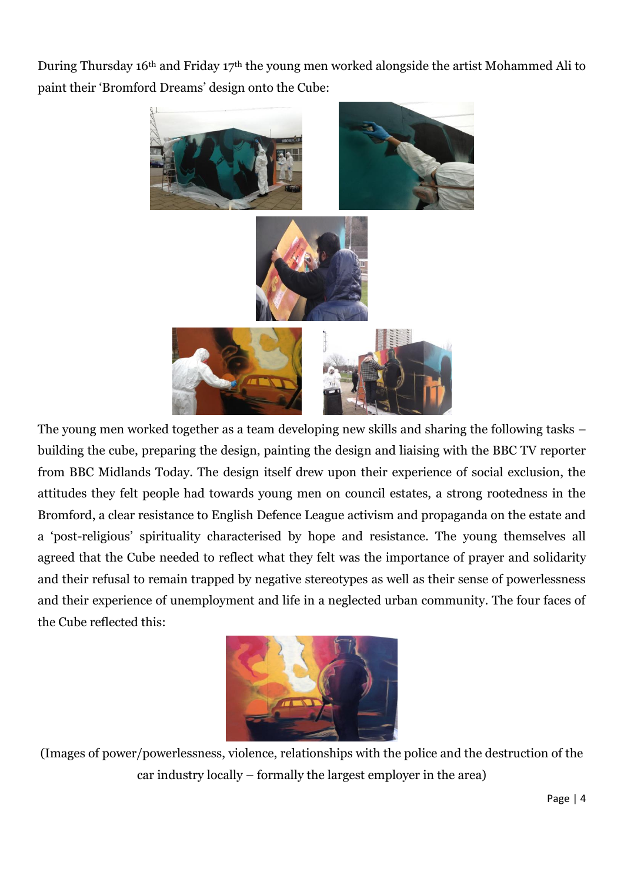During Thursday 16th and Friday 17th the young men worked alongside the artist Mohammed Ali to paint their 'Bromford Dreams' design onto the Cube:



The young men worked together as a team developing new skills and sharing the following tasks – building the cube, preparing the design, painting the design and liaising with the BBC TV reporter from BBC Midlands Today. The design itself drew upon their experience of social exclusion, the attitudes they felt people had towards young men on council estates, a strong rootedness in the Bromford, a clear resistance to English Defence League activism and propaganda on the estate and a 'post-religious' spirituality characterised by hope and resistance. The young themselves all agreed that the Cube needed to reflect what they felt was the importance of prayer and solidarity and their refusal to remain trapped by negative stereotypes as well as their sense of powerlessness and their experience of unemployment and life in a neglected urban community. The four faces of the Cube reflected this:



(Images of power/powerlessness, violence, relationships with the police and the destruction of the car industry locally – formally the largest employer in the area)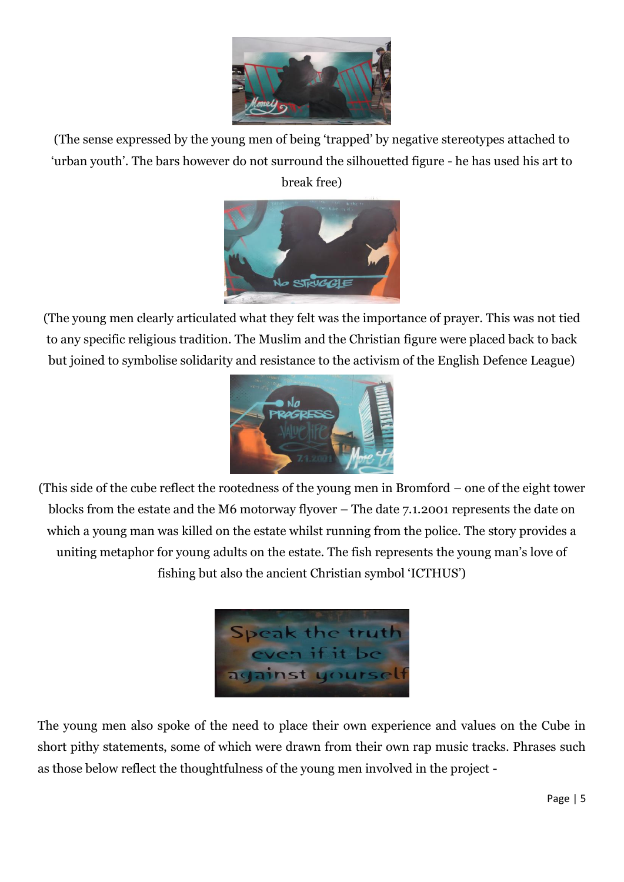

(The sense expressed by the young men of being 'trapped' by negative stereotypes attached to 'urban youth'. The bars however do not surround the silhouetted figure - he has used his art to break free)



(The young men clearly articulated what they felt was the importance of prayer. This was not tied to any specific religious tradition. The Muslim and the Christian figure were placed back to back but joined to symbolise solidarity and resistance to the activism of the English Defence League)



(This side of the cube reflect the rootedness of the young men in Bromford – one of the eight tower blocks from the estate and the M6 motorway flyover – The date 7.1.2001 represents the date on which a young man was killed on the estate whilst running from the police. The story provides a uniting metaphor for young adults on the estate. The fish represents the young man's love of fishing but also the ancient Christian symbol 'ICTHUS')



The young men also spoke of the need to place their own experience and values on the Cube in short pithy statements, some of which were drawn from their own rap music tracks. Phrases such as those below reflect the thoughtfulness of the young men involved in the project -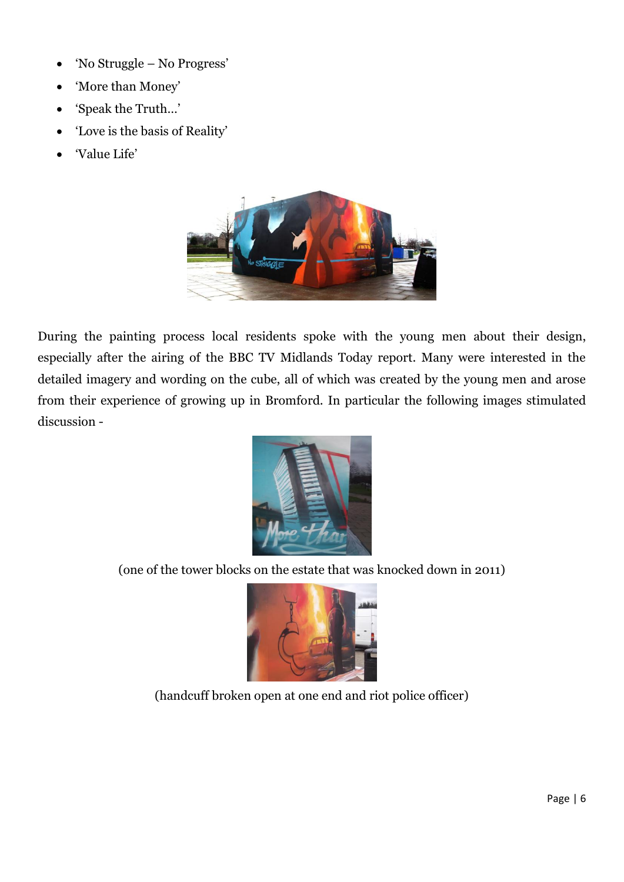- 'No Struggle No Progress'
- 'More than Money'
- 'Speak the Truth…'
- 'Love is the basis of Reality'
- 'Value Life'



During the painting process local residents spoke with the young men about their design, especially after the airing of the BBC TV Midlands Today report. Many were interested in the detailed imagery and wording on the cube, all of which was created by the young men and arose from their experience of growing up in Bromford. In particular the following images stimulated discussion -



(one of the tower blocks on the estate that was knocked down in 2011)



(handcuff broken open at one end and riot police officer)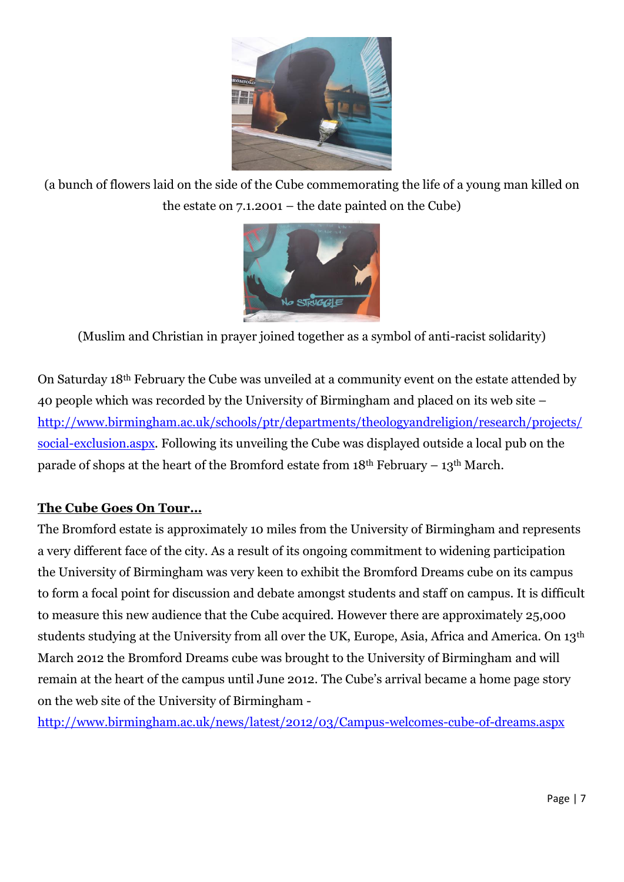

(a bunch of flowers laid on the side of the Cube commemorating the life of a young man killed on the estate on 7.1.2001 – the date painted on the Cube)



(Muslim and Christian in prayer joined together as a symbol of anti-racist solidarity)

On Saturday 18th February the Cube was unveiled at a community event on the estate attended by 40 people which was recorded by the University of Birmingham and placed on its web site – [http://www.birmingham.ac.uk/schools/ptr/departments/theologyandreligion/research/projects/](http://www.birmingham.ac.uk/schools/ptr/departments/theologyandreligion/research/projects/social-exclusion.aspx) [social-exclusion.aspx.](http://www.birmingham.ac.uk/schools/ptr/departments/theologyandreligion/research/projects/social-exclusion.aspx) Following its unveiling the Cube was displayed outside a local pub on the parade of shops at the heart of the Bromford estate from  $18<sup>th</sup>$  February –  $13<sup>th</sup>$  March.

#### **The Cube Goes On Tour…**

The Bromford estate is approximately 10 miles from the University of Birmingham and represents a very different face of the city. As a result of its ongoing commitment to widening participation the University of Birmingham was very keen to exhibit the Bromford Dreams cube on its campus to form a focal point for discussion and debate amongst students and staff on campus. It is difficult to measure this new audience that the Cube acquired. However there are approximately 25,000 students studying at the University from all over the UK, Europe, Asia, Africa and America. On 13th March 2012 the Bromford Dreams cube was brought to the University of Birmingham and will remain at the heart of the campus until June 2012. The Cube's arrival became a home page story on the web site of the University of Birmingham -

<http://www.birmingham.ac.uk/news/latest/2012/03/Campus-welcomes-cube-of-dreams.aspx>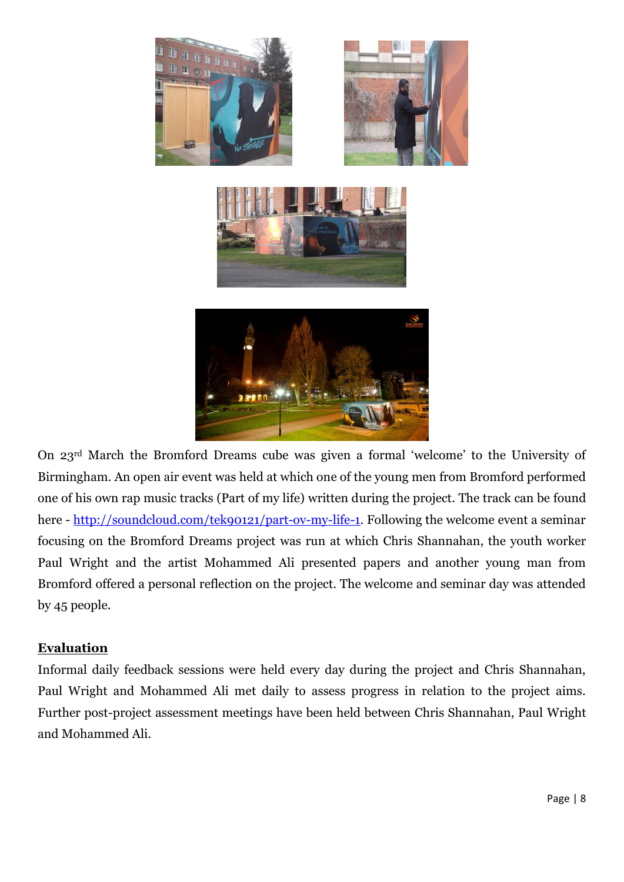

On 23rd March the Bromford Dreams cube was given a formal 'welcome' to the University of Birmingham. An open air event was held at which one of the young men from Bromford performed one of his own rap music tracks (Part of my life) written during the project. The track can be found here - [http://soundcloud.com/tek90121/part-ov-my-life-1.](http://soundcloud.com/tek90121/part-ov-my-life-1) Following the welcome event a seminar focusing on the Bromford Dreams project was run at which Chris Shannahan, the youth worker Paul Wright and the artist Mohammed Ali presented papers and another young man from Bromford offered a personal reflection on the project. The welcome and seminar day was attended by 45 people.

#### **Evaluation**

Informal daily feedback sessions were held every day during the project and Chris Shannahan, Paul Wright and Mohammed Ali met daily to assess progress in relation to the project aims. Further post-project assessment meetings have been held between Chris Shannahan, Paul Wright and Mohammed Ali.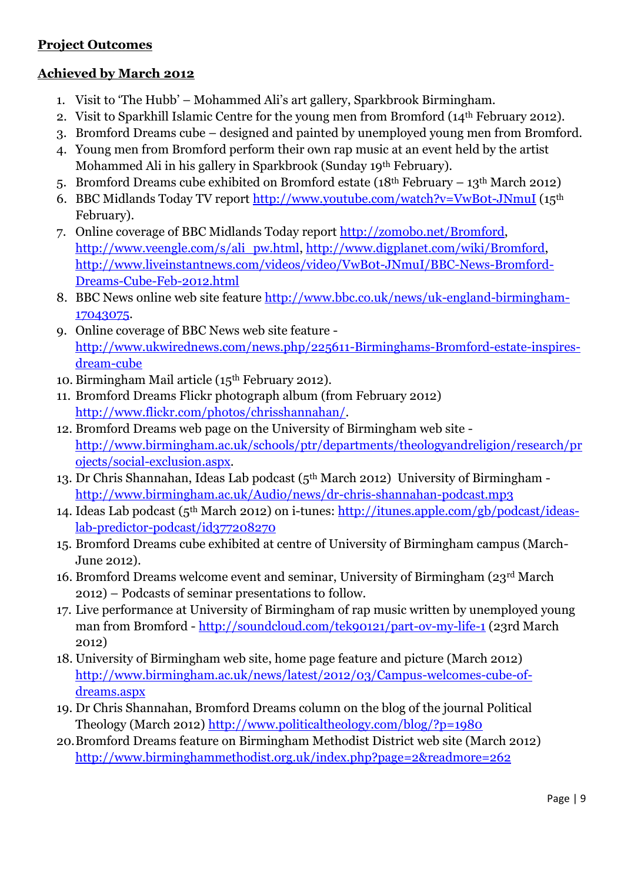#### **Project Outcomes**

#### **Achieved by March 2012**

- 1. Visit to 'The Hubb' Mohammed Ali's art gallery, Sparkbrook Birmingham.
- 2. Visit to Sparkhill Islamic Centre for the young men from Bromford (14th February 2012).
- 3. Bromford Dreams cube designed and painted by unemployed young men from Bromford.
- 4. Young men from Bromford perform their own rap music at an event held by the artist Mohammed Ali in his gallery in Sparkbrook (Sunday 19th February).
- 5. Bromford Dreams cube exhibited on Bromford estate ( $18<sup>th</sup>$  February  $13<sup>th</sup>$  March 2012)
- 6. BBC Midlands Today TV report<http://www.youtube.com/watch?v=VwB0t-JNmuI> (15th February).
- 7. Online coverage of BBC Midlands Today report [http://zomobo.net/Bromford,](http://zomobo.net/Bromford) [http://www.veengle.com/s/ali\\_pw.html,](http://www.veengle.com/s/ali_pw.html) [http://www.digplanet.com/wiki/Bromford,](http://www.digplanet.com/wiki/Bromford) [http://www.liveinstantnews.com/videos/video/VwB0t-JNmuI/BBC-News-Bromford-](http://www.liveinstantnews.com/videos/video/VwB0t-JNmuI/BBC-News-Bromford-Dreams-Cube-Feb-2012.html)[Dreams-Cube-Feb-2012.html](http://www.liveinstantnews.com/videos/video/VwB0t-JNmuI/BBC-News-Bromford-Dreams-Cube-Feb-2012.html)
- 8. BBC News online web site feature [http://www.bbc.co.uk/news/uk-england-birmingham-](http://www.bbc.co.uk/news/uk-england-birmingham-17043075)[17043075.](http://www.bbc.co.uk/news/uk-england-birmingham-17043075)
- 9. Online coverage of BBC News web site feature [http://www.ukwirednews.com/news.php/225611-Birminghams-Bromford-estate-inspires](http://www.ukwirednews.com/news.php/225611-Birminghams-Bromford-estate-inspires-dream-cube)[dream-cube](http://www.ukwirednews.com/news.php/225611-Birminghams-Bromford-estate-inspires-dream-cube)
- 10. Birmingham Mail article (15th February 2012).
- 11. Bromford Dreams Flickr photograph album (from February 2012) [http://www.flickr.com/photos/chrisshannahan/.](http://www.flickr.com/photos/chrisshannahan/)
- 12. Bromford Dreams web page on the University of Birmingham web site [http://www.birmingham.ac.uk/schools/ptr/departments/theologyandreligion/research/pr](http://www.birmingham.ac.uk/schools/ptr/departments/theologyandreligion/research/projects/social-exclusion.aspx) [ojects/social-exclusion.aspx.](http://www.birmingham.ac.uk/schools/ptr/departments/theologyandreligion/research/projects/social-exclusion.aspx)
- 13. Dr Chris Shannahan, Ideas Lab podcast (5th March 2012) University of Birmingham <http://www.birmingham.ac.uk/Audio/news/dr-chris-shannahan-podcast.mp3>
- 14. Ideas Lab podcast (5th March 2012) on i-tunes: [http://itunes.apple.com/gb/podcast/ideas](http://itunes.apple.com/gb/podcast/ideas-lab-predictor-podcast/id377208270)[lab-predictor-podcast/id377208270](http://itunes.apple.com/gb/podcast/ideas-lab-predictor-podcast/id377208270)
- 15. Bromford Dreams cube exhibited at centre of University of Birmingham campus (March-June 2012).
- 16. Bromford Dreams welcome event and seminar, University of Birmingham (23rd March 2012) – Podcasts of seminar presentations to follow.
- 17. Live performance at University of Birmingham of rap music written by unemployed young man from Bromford - <http://soundcloud.com/tek90121/part-ov-my-life-1> (23rd March 2012)
- 18. University of Birmingham web site, home page feature and picture (March 2012) [http://www.birmingham.ac.uk/news/latest/2012/03/Campus-welcomes-cube-of](http://www.birmingham.ac.uk/news/latest/2012/03/Campus-welcomes-cube-of-dreams.aspx)[dreams.aspx](http://www.birmingham.ac.uk/news/latest/2012/03/Campus-welcomes-cube-of-dreams.aspx)
- 19. Dr Chris Shannahan, Bromford Dreams column on the blog of the journal Political Theology (March 2012)<http://www.politicaltheology.com/blog/?p=1980>
- 20.Bromford Dreams feature on Birmingham Methodist District web site (March 2012) <http://www.birminghammethodist.org.uk/index.php?page=2&readmore=262>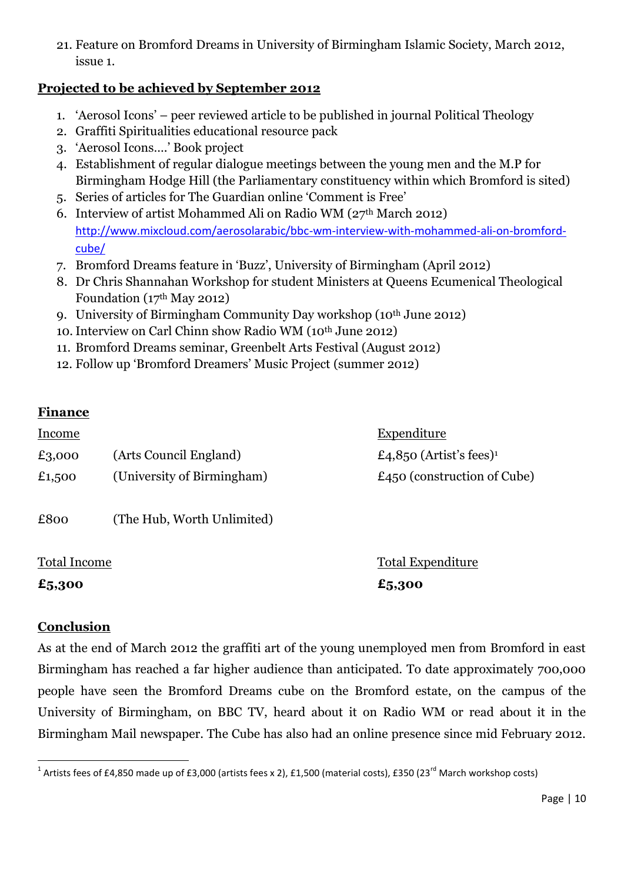21. Feature on Bromford Dreams in University of Birmingham Islamic Society, March 2012, issue 1.

#### **Projected to be achieved by September 2012**

- 1. 'Aerosol Icons' peer reviewed article to be published in journal Political Theology
- 2. Graffiti Spiritualities educational resource pack
- 3. 'Aerosol Icons….' Book project
- 4. Establishment of regular dialogue meetings between the young men and the M.P for Birmingham Hodge Hill (the Parliamentary constituency within which Bromford is sited)
- 5. Series of articles for The Guardian online 'Comment is Free'
- 6. Interview of artist Mohammed Ali on Radio WM ( $27<sup>th</sup> March 2012$ ) [http://www.mixcloud.com/aerosolarabic/bbc-wm-interview-with-mohammed-ali-on-bromford](http://www.mixcloud.com/aerosolarabic/bbc-wm-interview-with-mohammed-ali-on-bromford-cube/)[cube/](http://www.mixcloud.com/aerosolarabic/bbc-wm-interview-with-mohammed-ali-on-bromford-cube/)
- 7. Bromford Dreams feature in 'Buzz', University of Birmingham (April 2012)
- 8. Dr Chris Shannahan Workshop for student Ministers at Queens Ecumenical Theological Foundation (17th May 2012)
- 9. University of Birmingham Community Day workshop (10<sup>th</sup> June 2012)
- 10.Interview on Carl Chinn show Radio WM (10th June 2012)
- 11. Bromford Dreams seminar, Greenbelt Arts Festival (August 2012)
- 12. Follow up 'Bromford Dreamers' Music Project (summer 2012)

#### **Finance**

| <u>Income</u> |                            | <b>Expenditure</b>                  |
|---------------|----------------------------|-------------------------------------|
| £3,000        | (Arts Council England)     | £4,850 (Artist's fees) <sup>1</sup> |
| £1,500        | (University of Birmingham) | $£450$ (construction of Cube)       |
| £800          | (The Hub, Worth Unlimited) |                                     |

**£5,300 £5,300**

Total Income Total Expenditure

#### **Conclusion**

As at the end of March 2012 the graffiti art of the young unemployed men from Bromford in east Birmingham has reached a far higher audience than anticipated. To date approximately 700,000 people have seen the Bromford Dreams cube on the Bromford estate, on the campus of the University of Birmingham, on BBC TV, heard about it on Radio WM or read about it in the Birmingham Mail newspaper. The Cube has also had an online presence since mid February 2012.

 1 Artists fees of £4,850 made up of £3,000 (artists fees x 2), £1,500 (material costs), £350 (23rd March workshop costs)